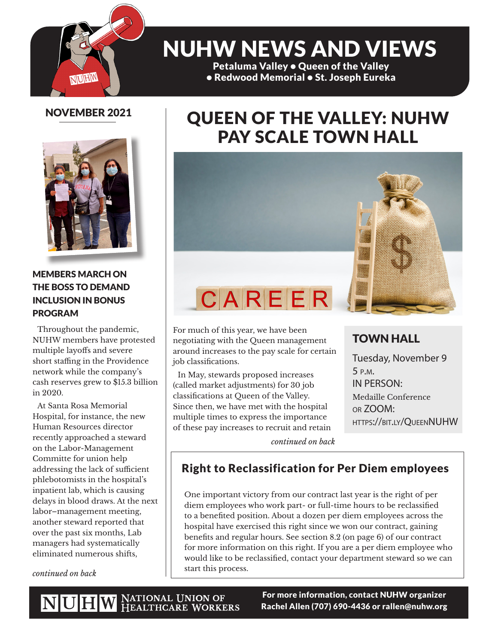

# NUHW NEWS AND VIEWS

Petaluma Valley • Queen of the Valley • Redwood Memorial • St. Joseph Eureka

## NOVEMBER 2021



### MEMBERS MARCH ON THE BOSS TO DEMAND INCLUSION IN BONUS PROGRAM

Throughout the pandemic, NUHW members have protested multiple layoffs and severe short staffing in the Providence network while the company's cash reserves grew to \$15.3 billion in 2020.

At Santa Rosa Memorial Hospital, for instance, the new Human Resources director recently approached a steward on the Labor-Management Committe for union help addressing the lack of sufficient phlebotomists in the hospital's inpatient lab, which is causing delays in blood draws. At the next labor–management meeting, another steward reported that over the past six months, Lab managers had systematically eliminated numerous shifts,

*continued on back*

## QUEEN OF THE VALLEY: NUHW PAY SCALE TOWN HALL



For much of this year, we have been negotiating with the Queen management around increases to the pay scale for certain job classifications.

In May, stewards proposed increases (called market adjustments) for 30 job classifications at Queen of the Valley. Since then, we have met with the hospital multiple times to express the importance of these pay increases to recruit and retain

### TOWN HALL

Tuesday, November 9 5 p.m. IN PERSON: Medaille Conference or ZOOM: https://bit.ly/QueenNUHW

*continued on back*

## Right to Reclassification for Per Diem employees

One important victory from our contract last year is the right of per diem employees who work part- or full-time hours to be reclassified to a benefited position. About a dozen per diem employees across the hospital have exercised this right since we won our contract, gaining benefits and regular hours. See section 8.2 (on page 6) of our contract for more information on this right. If you are a per diem employee who would like to be reclassified, contact your department steward so we can start this process.

For more information, contact NUHW organizer Rachel Allen (707) 690-4436 or rallen@nuhw.org